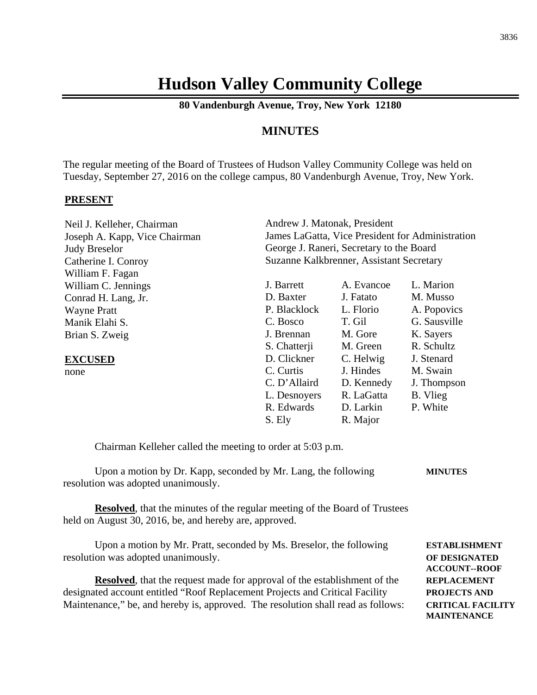# **Hudson Valley Community College**

**80 Vandenburgh Avenue, Troy, New York 12180**

# **MINUTES**

The regular meeting of the Board of Trustees of Hudson Valley Community College was held on Tuesday, September 27, 2016 on the college campus, 80 Vandenburgh Avenue, Troy, New York.

### **PRESENT**

| Neil J. Kelleher, Chairman    | Andrew J. Matonak, President                     |            |              |
|-------------------------------|--------------------------------------------------|------------|--------------|
| Joseph A. Kapp, Vice Chairman | James LaGatta, Vice President for Administration |            |              |
| <b>Judy Breselor</b>          | George J. Raneri, Secretary to the Board         |            |              |
| Catherine I. Conroy           | Suzanne Kalkbrenner, Assistant Secretary         |            |              |
| William F. Fagan              |                                                  |            |              |
| William C. Jennings           | J. Barrett                                       | A. Evancoe | L. Marion    |
| Conrad H. Lang, Jr.           | D. Baxter                                        | J. Fatato  | M. Musso     |
| <b>Wayne Pratt</b>            | P. Blacklock                                     | L. Florio  | A. Popovics  |
| Manik Elahi S.                | C. Bosco                                         | T. Gil     | G. Sausville |
| Brian S. Zweig                | J. Brennan                                       | M. Gore    | K. Sayers    |
|                               | S. Chatterji                                     | M. Green   | R. Schultz   |
| <b>EXCUSED</b>                | D. Clickner                                      | C. Helwig  | J. Stenard   |
| none                          | C. Curtis                                        | J. Hindes  | M. Swain     |
|                               | C. D'Allaird                                     | D. Kennedy | J. Thompson  |
|                               | L. Desnoyers                                     | R. LaGatta | B. Vlieg     |
|                               | R. Edwards                                       | D. Larkin  | P. White     |
|                               | S. Ely                                           | R. Major   |              |

Chairman Kelleher called the meeting to order at 5:03 p.m.

| Upon a motion by Dr. Kapp, seconded by Mr. Lang, the following | <b>MINUTES</b> |
|----------------------------------------------------------------|----------------|
| resolution was adopted unanimously.                            |                |

**Resolved**, that the minutes of the regular meeting of the Board of Trustees held on August 30, 2016, be, and hereby are, approved.

Upon a motion by Mr. Pratt, seconded by Ms. Breselor, the following **ESTABLISHMENT** resolution was adopted unanimously. **OF DESIGNATED**

**Resolved**, that the request made for approval of the establishment of the **REPLACEMENT**  designated account entitled "Roof Replacement Projects and Critical Facility **PROJECTS AND** Maintenance," be, and hereby is, approved. The resolution shall read as follows: **CRITICAL FACILITY**

**ACCOUNT--ROOF MAINTENANCE**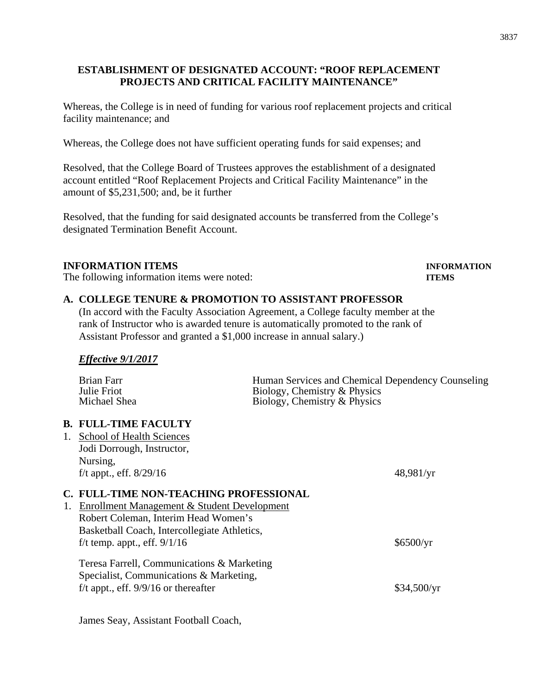## **ESTABLISHMENT OF DESIGNATED ACCOUNT: "ROOF REPLACEMENT PROJECTS AND CRITICAL FACILITY MAINTENANCE"**

Whereas, the College is in need of funding for various roof replacement projects and critical facility maintenance; and

Whereas, the College does not have sufficient operating funds for said expenses; and

Resolved, that the College Board of Trustees approves the establishment of a designated account entitled "Roof Replacement Projects and Critical Facility Maintenance" in the amount of \$5,231,500; and, be it further

Resolved, that the funding for said designated accounts be transferred from the College's designated Termination Benefit Account.

## **INFORMATION ITEMS INFORMATION**

The following information items were noted: **ITEMS**

# **A. COLLEGE TENURE & PROMOTION TO ASSISTANT PROFESSOR**

(In accord with the Faculty Association Agreement, a College faculty member at the rank of Instructor who is awarded tenure is automatically promoted to the rank of Assistant Professor and granted a \$1,000 increase in annual salary.)

*Effective 9/1/2017*

|    | <b>Brian Farr</b><br>Julie Friot<br>Michael Shea       | Human Services and Chemical Dependency Counseling<br>Biology, Chemistry & Physics<br>Biology, Chemistry & Physics |             |
|----|--------------------------------------------------------|-------------------------------------------------------------------------------------------------------------------|-------------|
|    |                                                        |                                                                                                                   |             |
|    | <b>B. FULL-TIME FACULTY</b>                            |                                                                                                                   |             |
|    | 1. School of Health Sciences                           |                                                                                                                   |             |
|    | Jodi Dorrough, Instructor,                             |                                                                                                                   |             |
|    | Nursing,                                               |                                                                                                                   |             |
|    | f/t appt., eff. $8/29/16$                              |                                                                                                                   | 48,981/yr   |
|    | C. FULL-TIME NON-TEACHING PROFESSIONAL                 |                                                                                                                   |             |
| 1. | <b>Enrollment Management &amp; Student Development</b> |                                                                                                                   |             |
|    | Robert Coleman, Interim Head Women's                   |                                                                                                                   |             |
|    | Basketball Coach, Intercollegiate Athletics,           |                                                                                                                   |             |
|    | f/t temp. appt., eff. $9/1/16$                         |                                                                                                                   | \$6500/yr   |
|    | Teresa Farrell, Communications & Marketing             |                                                                                                                   |             |
|    | Specialist, Communications & Marketing,                |                                                                                                                   |             |
|    | f/t appt., eff. $9/9/16$ or thereafter                 |                                                                                                                   | \$34,500/yr |
|    |                                                        |                                                                                                                   |             |

James Seay, Assistant Football Coach,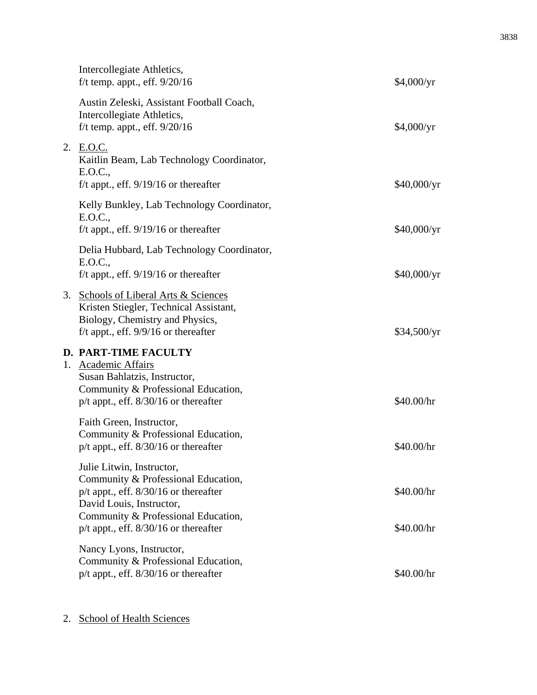| Intercollegiate Athletics,<br>f/t temp. appt., eff. $9/20/16$                                                                                                                                                                 | \$4,000/yr               |
|-------------------------------------------------------------------------------------------------------------------------------------------------------------------------------------------------------------------------------|--------------------------|
| Austin Zeleski, Assistant Football Coach,<br>Intercollegiate Athletics,<br>f/t temp. appt., eff. $9/20/16$                                                                                                                    | \$4,000/yr               |
| 2. E.O.C.<br>Kaitlin Beam, Lab Technology Coordinator,<br>E.O.C.,<br>f/t appt., eff. $9/19/16$ or thereafter                                                                                                                  | \$40,000/yr              |
| Kelly Bunkley, Lab Technology Coordinator,<br>E.O.C.,<br>f/t appt., eff. $9/19/16$ or thereafter                                                                                                                              | \$40,000/yr              |
| Delia Hubbard, Lab Technology Coordinator,<br>E.O.C.,<br>f/t appt., eff. $9/19/16$ or thereafter                                                                                                                              | \$40,000/yr              |
| 3. Schools of Liberal Arts & Sciences<br>Kristen Stiegler, Technical Assistant,<br>Biology, Chemistry and Physics,<br>f/t appt., eff. $9/9/16$ or thereafter                                                                  | \$34,500/yr              |
| <b>D. PART-TIME FACULTY</b><br>1. Academic Affairs<br>Susan Bahlatzis, Instructor,<br>Community & Professional Education,<br>$p/t$ appt., eff. $8/30/16$ or thereafter                                                        | \$40.00/hr               |
| Faith Green, Instructor,<br>Community & Professional Education,<br>$p/t$ appt., eff. $8/30/16$ or thereafter                                                                                                                  | \$40.00/hr               |
| Julie Litwin, Instructor,<br>Community & Professional Education,<br>$p/t$ appt., eff. $8/30/16$ or thereafter<br>David Louis, Instructor,<br>Community & Professional Education,<br>$p/t$ appt., eff. $8/30/16$ or thereafter | \$40.00/hr<br>\$40.00/hr |
| Nancy Lyons, Instructor,<br>Community & Professional Education,<br>$p/t$ appt., eff. $8/30/16$ or thereafter                                                                                                                  | \$40.00/hr               |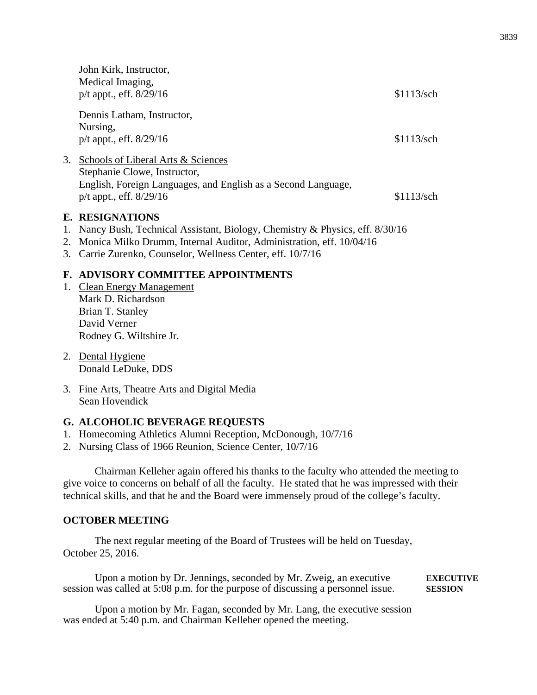|    | John Kirk, Instructor,<br>Medical Imaging,<br>$p/t$ appt., eff. $8/29/16$                                                                                                                                                                                                                                                                                                                                    | \$1113/sch |
|----|--------------------------------------------------------------------------------------------------------------------------------------------------------------------------------------------------------------------------------------------------------------------------------------------------------------------------------------------------------------------------------------------------------------|------------|
|    | Dennis Latham, Instructor,<br>Nursing,<br>$p/t$ appt., eff. $8/29/16$                                                                                                                                                                                                                                                                                                                                        | \$1113/sch |
| 3. | Schools of Liberal Arts & Sciences<br>Stephanie Clowe, Instructor,<br>English, Foreign Languages, and English as a Second Language,<br>$p/t$ appt., eff. $8/29/16$                                                                                                                                                                                                                                           | \$1113/sch |
|    | <b>E. RESIGNATIONS</b><br>1. Nancy Bush, Technical Assistant, Biology, Chemistry & Physics, eff. 8/30/16<br>$\mathbf{r}$ and $\mathbf{r}$ and $\mathbf{r}$ and $\mathbf{r}$ and $\mathbf{r}$ and $\mathbf{r}$ and $\mathbf{r}$ and $\mathbf{r}$ and $\mathbf{r}$ and $\mathbf{r}$ and $\mathbf{r}$ and $\mathbf{r}$ and $\mathbf{r}$ and $\mathbf{r}$ and $\mathbf{r}$ and $\mathbf{r}$ and $\mathbf{r}$ and |            |

- 2. Monica Milko Drumm, Internal Auditor, Administration, eff. 10/04/16
- 3. Carrie Zurenko, Counselor, Wellness Center, eff. 10/7/16

## **F. ADVISORY COMMITTEE APPOINTMENTS**

- 1. Clean Energy Management Mark D. Richardson Brian T. Stanley David Verner Rodney G. Wiltshire Jr.
- 2. Dental Hygiene Donald LeDuke, DDS
- 3. Fine Arts, Theatre Arts and Digital Media Sean Hovendick

### **G. ALCOHOLIC BEVERAGE REQUESTS**

- 1. Homecoming Athletics Alumni Reception, McDonough, 10/7/16
- 2. Nursing Class of 1966 Reunion, Science Center, 10/7/16

Chairman Kelleher again offered his thanks to the faculty who attended the meeting to give voice to concerns on behalf of all the faculty. He stated that he was impressed with their technical skills, and that he and the Board were immensely proud of the college's faculty.

### **OCTOBER MEETING**

The next regular meeting of the Board of Trustees will be held on Tuesday, October 25, 2016.

Upon a motion by Dr. Jennings, seconded by Mr. Zweig, an executive **EXECUTIVE** session was called at 5:08 p.m. for the purpose of discussing a personnel issue. **SESSION**

Upon a motion by Mr. Fagan, seconded by Mr. Lang, the executive session was ended at 5:40 p.m. and Chairman Kelleher opened the meeting.